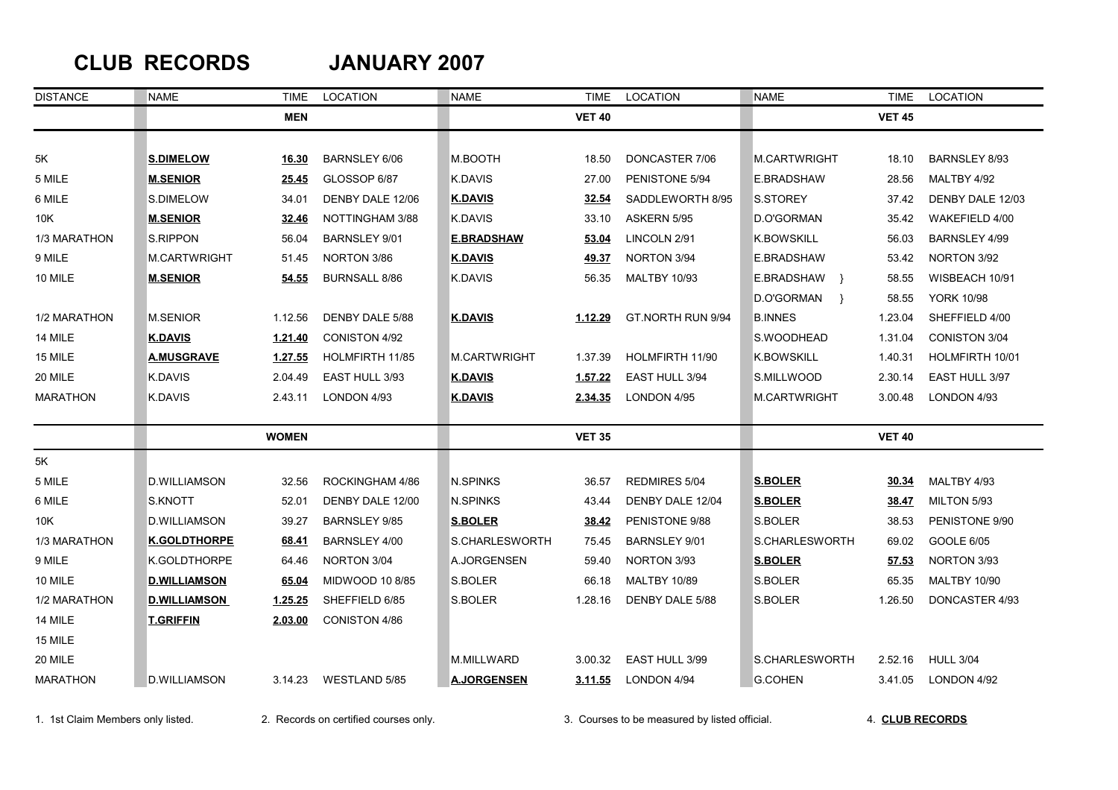## **CLUB RECORDS JANUARY 2007**

| <b>DISTANCE</b> | <b>NAME</b>         | TIME           | <b>LOCATION</b>        | <b>NAME</b>        | <b>TIME</b>    | LOCATION            | NAME               | TIME          | LOCATION             |
|-----------------|---------------------|----------------|------------------------|--------------------|----------------|---------------------|--------------------|---------------|----------------------|
|                 |                     | <b>MEN</b>     |                        |                    | <b>VET 40</b>  |                     |                    | <b>VET 45</b> |                      |
|                 |                     |                |                        |                    |                |                     |                    |               |                      |
| 5K              | <b>S.DIMELOW</b>    | 16.30          | BARNSLEY 6/06          | M.BOOTH            | 18.50          | DONCASTER 7/06      | M.CARTWRIGHT       | 18.10         | BARNSLEY 8/93        |
| 5 MILE          | <b>M.SENIOR</b>     | 25.45          | GLOSSOP 6/87           | K.DAVIS            | 27.00          | PENISTONE 5/94      | E.BRADSHAW         | 28.56         | MALTBY 4/92          |
| 6 MILE          | S.DIMELOW           | 34.01          | DENBY DALE 12/06       | <b>K.DAVIS</b>     | 32.54          | SADDLEWORTH 8/95    | S.STOREY           | 37.42         | DENBY DALE 12/03     |
| 10K             | <b>M.SENIOR</b>     | 32.46          | NOTTINGHAM 3/88        | K.DAVIS            | 33.10          | ASKERN 5/95         | D.O'GORMAN         | 35.42         | WAKEFIELD 4/00       |
| 1/3 MARATHON    | <b>S.RIPPON</b>     | 56.04          | BARNSLEY 9/01          | <b>E.BRADSHAW</b>  | 53.04          | LINCOLN 2/91        | <b>K.BOWSKILL</b>  | 56.03         | BARNSLEY 4/99        |
| 9 MILE          | M.CARTWRIGHT        | 51.45          | NORTON 3/86            | <u>K.DAVIS</u>     | <u>49.37</u>   | NORTON 3/94         | E.BRADSHAW         | 53.42         | NORTON 3/92          |
| 10 MILE         | <b>M.SENIOR</b>     | 54.55          | <b>BURNSALL 8/86</b>   | K.DAVIS            | 56.35          | <b>MALTBY 10/93</b> | E.BRADSHAW }       | 58.55         | WISBEACH 10/91       |
|                 |                     |                |                        |                    |                |                     | D.O'GORMAN<br>$\}$ | 58.55         | <b>YORK 10/98</b>    |
| 1/2 MARATHON    | M.SENIOR            | 1.12.56        | DENBY DALE 5/88        | <b>K.DAVIS</b>     | 1.12.29        | GT.NORTH RUN 9/94   | <b>B.INNES</b>     | 1.23.04       | SHEFFIELD 4/00       |
| 14 MILE         | <b>K.DAVIS</b>      | 1.21.40        | CONISTON 4/92          |                    |                |                     | S.WOODHEAD         | 1.31.04       | <b>CONISTON 3/04</b> |
| 15 MILE         | <b>A.MUSGRAVE</b>   | 1.27.55        | <b>HOLMFIRTH 11/85</b> | M.CARTWRIGHT       | 1.37.39        | HOLMFIRTH 11/90     | <b>K.BOWSKILL</b>  | 1.40.31       | HOLMFIRTH 10/01      |
| 20 MILE         | K.DAVIS             | 2.04.49        | EAST HULL 3/93         | <b>K.DAVIS</b>     | 1.57.22        | EAST HULL 3/94      | S.MILLWOOD         | 2.30.14       | EAST HULL 3/97       |
| <b>MARATHON</b> | K.DAVIS             | 2.43.11        | LONDON 4/93            | <u>K.DAVIS</u>     | <u>2.34.35</u> | LONDON 4/95         | M.CARTWRIGHT       | 3.00.48       | LONDON 4/93          |
|                 |                     | <b>WOMEN</b>   |                        |                    | <b>VET 35</b>  |                     |                    | <b>VET 40</b> |                      |
| 5K              |                     |                |                        |                    |                |                     |                    |               |                      |
| 5 MILE          | <b>D.WILLIAMSON</b> | 32.56          | ROCKINGHAM 4/86        | N.SPINKS           | 36.57          | REDMIRES 5/04       | <b>S.BOLER</b>     | 30.34         | MALTBY 4/93          |
| 6 MILE          | S.KNOTT             | 52.01          | DENBY DALE 12/00       | N.SPINKS           | 43.44          | DENBY DALE 12/04    | <b>S.BOLER</b>     | 38.47         | MILTON 5/93          |
| 10K             | D.WILLIAMSON        | 39.27          | <b>BARNSLEY 9/85</b>   | <b>S.BOLER</b>     | 38.42          | PENISTONE 9/88      | S.BOLER            | 38.53         | PENISTONE 9/90       |
| 1/3 MARATHON    | <b>K.GOLDTHORPE</b> | 68.41          | BARNSLEY 4/00          | S.CHARLESWORTH     | 75.45          | BARNSLEY 9/01       | S.CHARLESWORTH     | 69.02         | <b>GOOLE 6/05</b>    |
| 9 MILE          | K.GOLDTHORPE        | 64.46          | NORTON 3/04            | A.JORGENSEN        | 59.40          | NORTON 3/93         | <b>S.BOLER</b>     | 57.53         | NORTON 3/93          |
| 10 MILE         | <b>D.WILLIAMSON</b> | 65.04          | MIDWOOD 10 8/85        | S.BOLER            | 66.18          | <b>MALTBY 10/89</b> | S.BOLER            | 65.35         | MALTBY 10/90         |
| 1/2 MARATHON    | <b>D.WILLIAMSON</b> | <u>1.25.25</u> | SHEFFIELD 6/85         | S.BOLER            | 1.28.16        | DENBY DALE 5/88     | S.BOLER            | 1.26.50       | DONCASTER 4/93       |
| 14 MILE         | <b>T.GRIFFIN</b>    | 2.03.00        | CONISTON 4/86          |                    |                |                     |                    |               |                      |
| 15 MILE         |                     |                |                        |                    |                |                     |                    |               |                      |
| 20 MILE         |                     |                |                        | M.MILLWARD         | 3.00.32        | EAST HULL 3/99      | S.CHARLESWORTH     | 2.52.16       | <b>HULL 3/04</b>     |
| <b>MARATHON</b> | <b>D.WILLIAMSON</b> | 3.14.23        | WESTLAND 5/85          | <b>A.JORGENSEN</b> | 3.11.55        | LONDON 4/94         | <b>G.COHEN</b>     | 3.41.05       | LONDON 4/92          |

1. 1st Claim Members only listed. 2. Records on certified courses only. 3. Courses to be measured by listed official. 4. **CLUB RECORDS**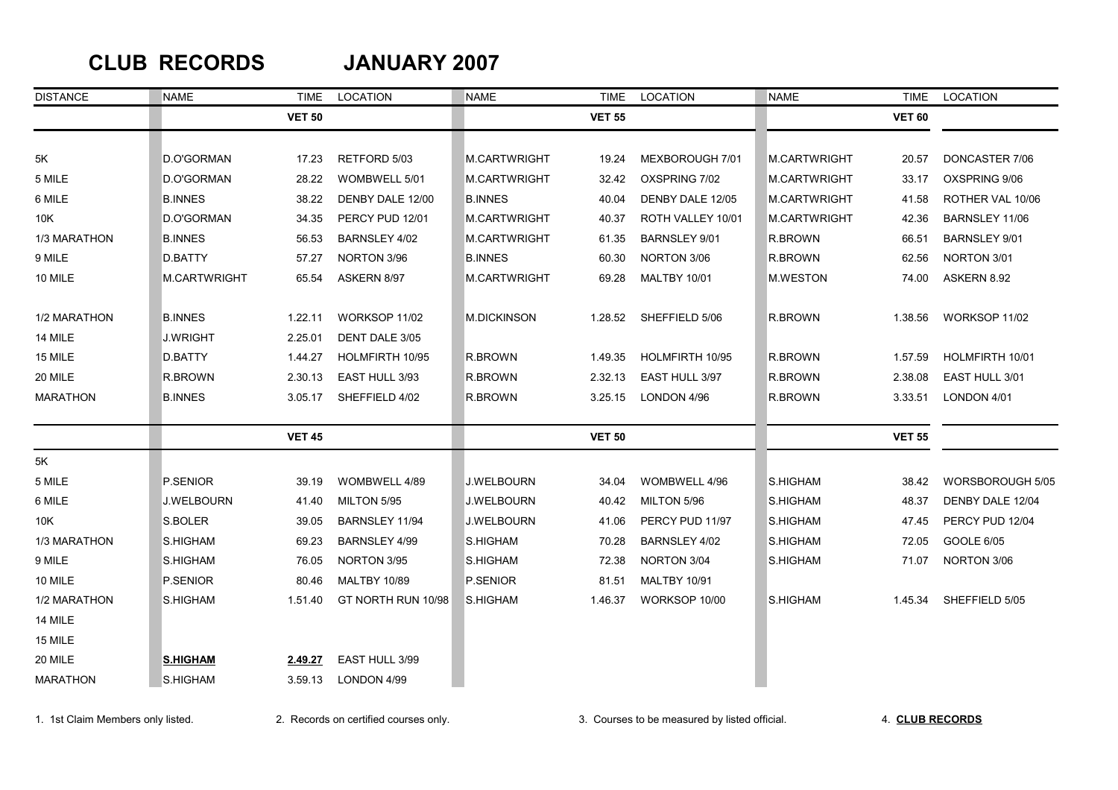### **CLUB RECORDS JANUARY 2007**

| <b>DISTANCE</b> | NAME                | TIME          | LOCATION            | NAME               | <b>TIME</b>   | LOCATION            | <b>NAME</b>     | <b>TIME</b>   | LOCATION             |
|-----------------|---------------------|---------------|---------------------|--------------------|---------------|---------------------|-----------------|---------------|----------------------|
|                 |                     | <b>VET 50</b> |                     |                    | <b>VET 55</b> |                     |                 | <b>VET 60</b> |                      |
|                 |                     |               |                     |                    |               |                     |                 |               |                      |
| 5K              | D.O'GORMAN          | 17.23         | RETFORD 5/03        | M.CARTWRIGHT       | 19.24         | MEXBOROUGH 7/01     | M.CARTWRIGHT    | 20.57         | DONCASTER 7/06       |
| 5 MILE          | D.O'GORMAN          | 28.22         | WOMBWELL 5/01       | M.CARTWRIGHT       | 32.42         | OXSPRING 7/02       | M.CARTWRIGHT    | 33.17         | OXSPRING 9/06        |
| 6 MILE          | <b>B.INNES</b>      | 38.22         | DENBY DALE 12/00    | <b>B.INNES</b>     | 40.04         | DENBY DALE 12/05    | M.CARTWRIGHT    | 41.58         | ROTHER VAL 10/06     |
| 10K             | D.O'GORMAN          | 34.35         | PERCY PUD 12/01     | M.CARTWRIGHT       | 40.37         | ROTH VALLEY 10/01   | M.CARTWRIGHT    | 42.36         | BARNSLEY 11/06       |
| 1/3 MARATHON    | <b>B.INNES</b>      | 56.53         | BARNSLEY 4/02       | M.CARTWRIGHT       | 61.35         | BARNSLEY 9/01       | R.BROWN         | 66.51         | <b>BARNSLEY 9/01</b> |
| 9 MILE          | D.BATTY             | 57.27         | NORTON 3/96         | <b>B.INNES</b>     | 60.30         | NORTON 3/06         | R.BROWN         | 62.56         | NORTON 3/01          |
| 10 MILE         | <b>M.CARTWRIGHT</b> | 65.54         | ASKERN 8/97         | M.CARTWRIGHT       | 69.28         | <b>MALTBY 10/01</b> | <b>M.WESTON</b> | 74.00         | ASKERN 8.92          |
| 1/2 MARATHON    | <b>B.INNES</b>      | 1.22.11       | WORKSOP 11/02       | <b>M.DICKINSON</b> | 1.28.52       | SHEFFIELD 5/06      | R.BROWN         | 1.38.56       | WORKSOP 11/02        |
| 14 MILE         | J.WRIGHT            | 2.25.01       | DENT DALE 3/05      |                    |               |                     |                 |               |                      |
| 15 MILE         | D.BATTY             | 1.44.27       | HOLMFIRTH 10/95     | R.BROWN            | 1.49.35       | HOLMFIRTH 10/95     | R.BROWN         | 1.57.59       | HOLMFIRTH 10/01      |
| 20 MILE         | R.BROWN             | 2.30.13       | EAST HULL 3/93      | R.BROWN            | 2.32.13       | EAST HULL 3/97      | R.BROWN         | 2.38.08       | EAST HULL 3/01       |
| <b>MARATHON</b> | <b>B.INNES</b>      | 3.05.17       | SHEFFIELD 4/02      | R BROWN            | 3.25.15       | LONDON 4/96         | R BROWN         | 3.33.51       | LONDON 4/01          |
|                 |                     | <b>VET 45</b> |                     |                    | <b>VET 50</b> |                     |                 | <b>VET 55</b> |                      |
| 5K              |                     |               |                     |                    |               |                     |                 |               |                      |
| 5 MILE          | P.SENIOR            | 39.19         | WOMBWELL 4/89       | <b>J.WELBOURN</b>  | 34.04         | WOMBWELL 4/96       | S.HIGHAM        | 38.42         | WORSBOROUGH 5/05     |
| 6 MILE          | <b>J.WELBOURN</b>   | 41.40         | MILTON 5/95         | <b>J.WELBOURN</b>  | 40.42         | MILTON 5/96         | S.HIGHAM        | 48.37         | DENBY DALE 12/04     |
| 10K             | S.BOLER             | 39.05         | BARNSLEY 11/94      | <b>J.WELBOURN</b>  | 41.06         | PERCY PUD 11/97     | S.HIGHAM        | 47.45         | PERCY PUD 12/04      |
| 1/3 MARATHON    | S.HIGHAM            | 69.23         | BARNSLEY 4/99       | S.HIGHAM           | 70.28         | BARNSLEY 4/02       | S.HIGHAM        | 72.05         | GOOLE 6/05           |
| 9 MILE          | S.HIGHAM            | 76.05         | NORTON 3/95         | S.HIGHAM           | 72.38         | NORTON 3/04         | S.HIGHAM        | 71.07         | NORTON 3/06          |
| 10 MILE         | P.SENIOR            | 80.46         | <b>MALTBY 10/89</b> | P.SENIOR           | 81.51         | <b>MALTBY 10/91</b> |                 |               |                      |
| 1/2 MARATHON    | S.HIGHAM            | 1.51.40       | GT NORTH RUN 10/98  | S.HIGHAM           | 1.46.37       | WORKSOP 10/00       | <b>S.HIGHAM</b> | 1.45.34       | SHEFFIELD 5/05       |
| 14 MILE         |                     |               |                     |                    |               |                     |                 |               |                      |
| 15 MILE         |                     |               |                     |                    |               |                     |                 |               |                      |
| 20 MILE         | <b>S.HIGHAM</b>     | 2.49.27       | EAST HULL 3/99      |                    |               |                     |                 |               |                      |
| <b>MARATHON</b> | S.HIGHAM            | 3.59.13       | LONDON 4/99         |                    |               |                     |                 |               |                      |

1. 1st Claim Members only listed. 2. Records on certified courses only. 3. Courses to be measured by listed official. 4. **CLUB RECORDS**